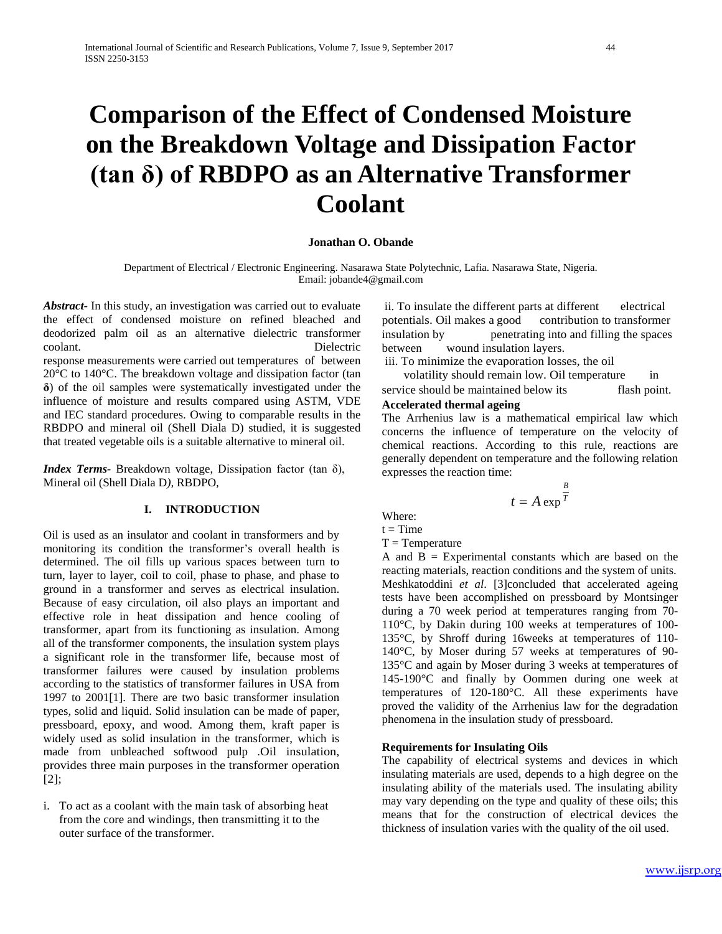# **Comparison of the Effect of Condensed Moisture on the Breakdown Voltage and Dissipation Factor (tan δ) of RBDPO as an Alternative Transformer Coolant**

## **Jonathan O. Obande**

Department of Electrical / Electronic Engineering. Nasarawa State Polytechnic, Lafia. Nasarawa State, Nigeria. Email: jobande4@gmail.com

*Abstract-* In this study, an investigation was carried out to evaluate the effect of condensed moisture on refined bleached and deodorized palm oil as an alternative dielectric transformer coolant. Dielectric response measurements were carried out temperatures of between 20°C to 140°C. The breakdown voltage and dissipation factor (tan **δ**) of the oil samples were systematically investigated under the influence of moisture and results compared using ASTM, VDE and IEC standard procedures. Owing to comparable results in the RBDPO and mineral oil (Shell Diala D) studied, it is suggested that treated vegetable oils is a suitable alternative to mineral oil.

*Index Terms-* Breakdown voltage, Dissipation factor (tan δ), Mineral oil (Shell Diala D*),* RBDPO*,*

## **I. INTRODUCTION**

Oil is used as an insulator and coolant in transformers and by monitoring its condition the transformer's overall health is determined. The oil fills up various spaces between turn to turn, layer to layer, coil to coil, phase to phase, and phase to ground in a transformer and serves as electrical insulation. Because of easy circulation, oil also plays an important and effective role in heat dissipation and hence cooling of transformer, apart from its functioning as insulation. Among all of the transformer components, the insulation system plays a significant role in the transformer life, because most of transformer failures were caused by insulation problems according to the statistics of transformer failures in USA from 1997 to 2001[1]. There are two basic transformer insulation types, solid and liquid. Solid insulation can be made of paper, pressboard, epoxy, and wood. Among them, kraft paper is widely used as solid insulation in the transformer, which is made from unbleached softwood pulp .Oil insulation, provides three main purposes in the transformer operation [2];

i. To act as a coolant with the main task of absorbing heat from the core and windings, then transmitting it to the outer surface of the transformer.

ii. To insulate the different parts at different electrical potentials. Oil makes a good contribution to transformer insulation by penetrating into and filling the spaces between wound insulation layers.

iii. To minimize the evaporation losses, the oil

 volatility should remain low. Oil temperature in service should be maintained below its flash point.

#### **Accelerated thermal ageing**

The Arrhenius law is a mathematical empirical law which concerns the influence of temperature on the velocity of chemical reactions. According to this rule, reactions are generally dependent on temperature and the following relation expresses the reaction time:

$$
t = A \exp^{\frac{B}{T}}
$$

Where:

 $t = Time$ 

 $T = Temperature$ 

A and  $B =$  Experimental constants which are based on the reacting materials, reaction conditions and the system of units. Meshkatoddini *et al*. [3]concluded that accelerated ageing tests have been accomplished on pressboard by Montsinger during a 70 week period at temperatures ranging from 70- 110°C, by Dakin during 100 weeks at temperatures of 100- 135°C, by Shroff during 16weeks at temperatures of 110- 140°C, by Moser during 57 weeks at temperatures of 90- 135°C and again by Moser during 3 weeks at temperatures of 145-190°C and finally by Oommen during one week at temperatures of 120-180°C. All these experiments have proved the validity of the Arrhenius law for the degradation phenomena in the insulation study of pressboard.

## **Requirements for Insulating Oils**

The capability of electrical systems and devices in which insulating materials are used, depends to a high degree on the insulating ability of the materials used. The insulating ability may vary depending on the type and quality of these oils; this means that for the construction of electrical devices the thickness of insulation varies with the quality of the oil used.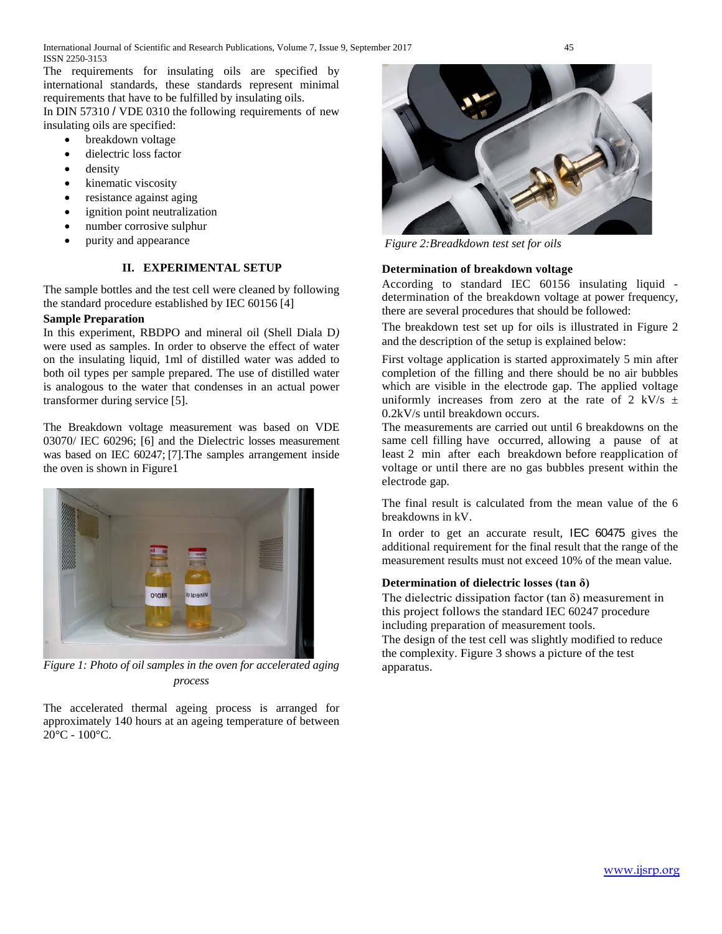The requirements for insulating oils are specified by international standards, these standards represent minimal requirements that have to be fulfilled by insulating oils.

In DIN 57310 / VDE 0310 the following requirements of new insulating oils are specified:

- breakdown voltage
- dielectric loss factor
- density
- kinematic viscosity
- resistance against aging
- ignition point neutralization
- number corrosive sulphur
- purity and appearance

## **II. EXPERIMENTAL SETUP**

The sample bottles and the test cell were cleaned by following the standard procedure established by IEC 60156 [4]

## **Sample Preparation**

In this experiment, RBDPO and mineral oil (Shell Diala D*)*  were used as samples. In order to observe the effect of water on the insulating liquid, 1ml of distilled water was added to both oil types per sample prepared. The use of distilled water is analogous to the water that condenses in an actual power transformer during service [5].

The Breakdown voltage measurement was based on VDE 03070/ IEC 60296; [6] and the Dielectric losses measurement was based on IEC 60247; [7].The samples arrangement inside the oven is shown in Figure1



*Figure 1: Photo of oil samples in the oven for accelerated aging process*

The accelerated thermal ageing process is arranged for approximately 140 hours at an ageing temperature of between 20°C - 100°C.



*Figure 2:Breadkdown test set for oils*

# **Determination of breakdown voltage**

According to standard IEC 60156 insulating liquid determination of the breakdown voltage at power frequency, there are several procedures that should be followed:

The breakdown test set up for oils is illustrated in Figure 2 and the description of the setup is explained below:

First voltage application is started approximately 5 min after completion of the filling and there should be no air bubbles which are visible in the electrode gap. The applied voltage uniformly increases from zero at the rate of 2 kV/s  $\pm$ 0.2kV/s until breakdown occurs.

The measurements are carried out until 6 breakdowns on the same cell filling have occurred, allowing a pause of at least 2 min after each breakdown before reapplication of voltage or until there are no gas bubbles present within the electrode gap.

The final result is calculated from the mean value of the 6 breakdowns in kV.

In order to get an accurate result, IEC 60475 gives the additional requirement for the final result that the range of the measurement results must not exceed 10% of the mean value.

# **Determination of dielectric losses (tan δ)**

The dielectric dissipation factor (tan  $\delta$ ) measurement in this project follows the standard IEC 60247 procedure including preparation of measurement tools.

The design of the test cell was slightly modified to reduce the complexity. Figure 3 shows a picture of the test apparatus.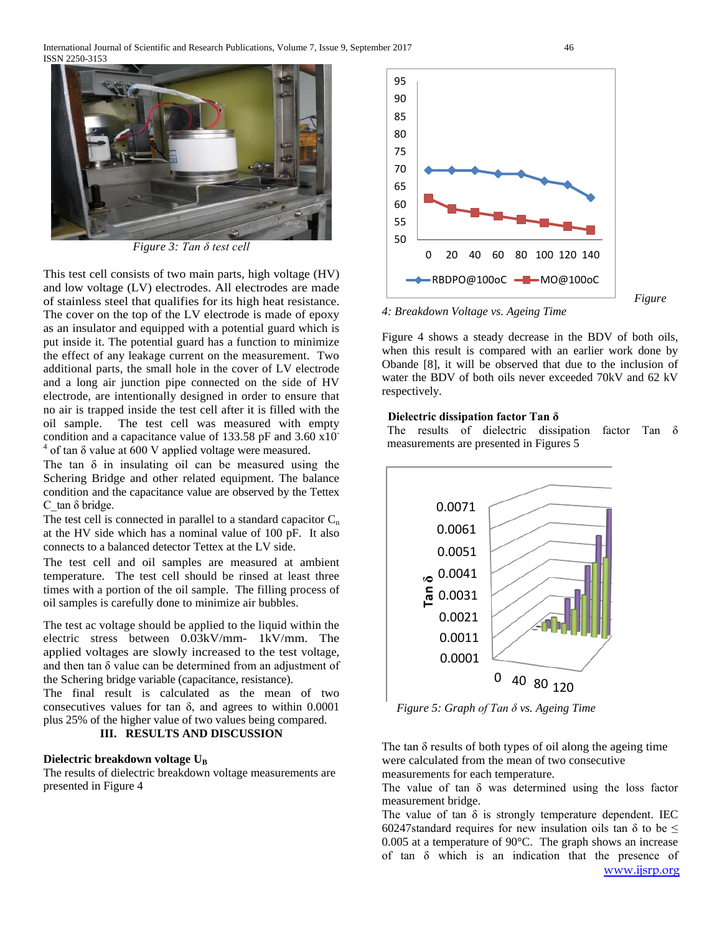International Journal of Scientific and Research Publications, Volume 7, Issue 9, September 2017 46 ISSN 2250-3153



*Figure 3: Tan δ test cell*

This test cell consists of two main parts, high voltage (HV) and low voltage (LV) electrodes. All electrodes are made of stainless steel that qualifies for its high heat resistance. The cover on the top of the LV electrode is made of epoxy as an insulator and equipped with a potential guard which is put inside it. The potential guard has a function to minimize the effect of any leakage current on the measurement. Two additional parts, the small hole in the cover of LV electrode and a long air junction pipe connected on the side of HV electrode, are intentionally designed in order to ensure that no air is trapped inside the test cell after it is filled with the oil sample. The test cell was measured with empty condition and a capacitance value of 133.58 pF and 3.60 x10- <sup>4</sup> of tan δ value at 600 V applied voltage were measured.

The tan  $\delta$  in insulating oil can be measured using the Schering Bridge and other related equipment. The balance condition and the capacitance value are observed by the Tettex C tan  $\delta$  bridge.

The test cell is connected in parallel to a standard capacitor  $C_n$ at the HV side which has a nominal value of 100 pF. It also connects to a balanced detector Tettex at the LV side.

The test cell and oil samples are measured at ambient temperature. The test cell should be rinsed at least three times with a portion of the oil sample. The filling process of oil samples is carefully done to minimize air bubbles.

The test ac voltage should be applied to the liquid within the electric stress between 0.03kV/mm- 1kV/mm. The applied voltages are slowly increased to the test voltage, and then tan δ value can be determined from an adjustment of the Schering bridge variable (capacitance, resistance).

The final result is calculated as the mean of two consecutives values for tan  $\delta$ , and agrees to within 0.0001 plus 25% of the higher value of two values being compared.

## **III. RESULTS AND DISCUSSION**

#### **Dielectric breakdown voltage** U<sub>B</sub>

The results of dielectric breakdown voltage measurements are presented in Figure 4



 *Figure* 

*4: Breakdown Voltage vs. Ageing Time*

Figure 4 shows a steady decrease in the BDV of both oils, when this result is compared with an earlier work done by Obande [8], it will be observed that due to the inclusion of water the BDV of both oils never exceeded 70kV and 62 kV respectively.

## **Dielectric dissipation factor Tan δ**

The results of dielectric dissipation factor Tan δ measurements are presented in Figures 5



 *Figure 5: Graph of Tan δ vs. Ageing Time*

The tan  $\delta$  results of both types of oil along the ageing time were calculated from the mean of two consecutive measurements for each temperature.

The value of tan  $\delta$  was determined using the loss factor measurement bridge.

[www.ijsrp.org](http://ijsrp.org/) The value of tan  $\delta$  is strongly temperature dependent. IEC 60247standard requires for new insulation oils tan  $\delta$  to be  $\leq$ 0.005 at a temperature of 90°C. The graph shows an increase of tan δ which is an indication that the presence of